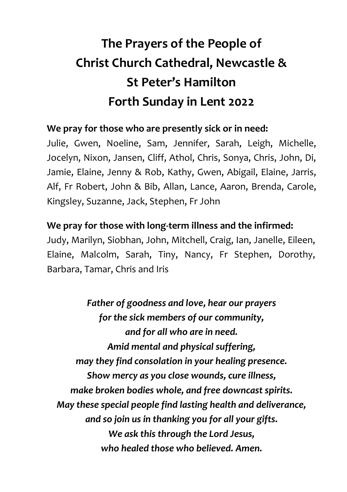## **The Prayers of the People of Christ Church Cathedral, Newcastle & St Peter's Hamilton Forth Sunday in Lent 2022**

## **We pray for those who are presently sick or in need:**

Julie, Gwen, Noeline, Sam, Jennifer, Sarah, Leigh, Michelle, Jocelyn, Nixon, Jansen, Cliff, Athol, Chris, Sonya, Chris, John, Di, Jamie, Elaine, Jenny & Rob, Kathy, Gwen, Abigail, Elaine, Jarris, Alf, Fr Robert, John & Bib, Allan, Lance, Aaron, Brenda, Carole, Kingsley, Suzanne, Jack, Stephen, Fr John

## **We pray for those with long-term illness and the infirmed:**

Judy, Marilyn, Siobhan, John, Mitchell, Craig, Ian, Janelle, Eileen, Elaine, Malcolm, Sarah, Tiny, Nancy, Fr Stephen, Dorothy, Barbara, Tamar, Chris and Iris

*Father of goodness and love, hear our prayers for the sick members of our community, and for all who are in need. Amid mental and physical suffering, may they find consolation in your healing presence. Show mercy as you close wounds, cure illness, make broken bodies whole, and free downcast spirits. May these special people find lasting health and deliverance, and so join us in thanking you for all your gifts. We ask this through the Lord Jesus, who healed those who believed. Amen.*